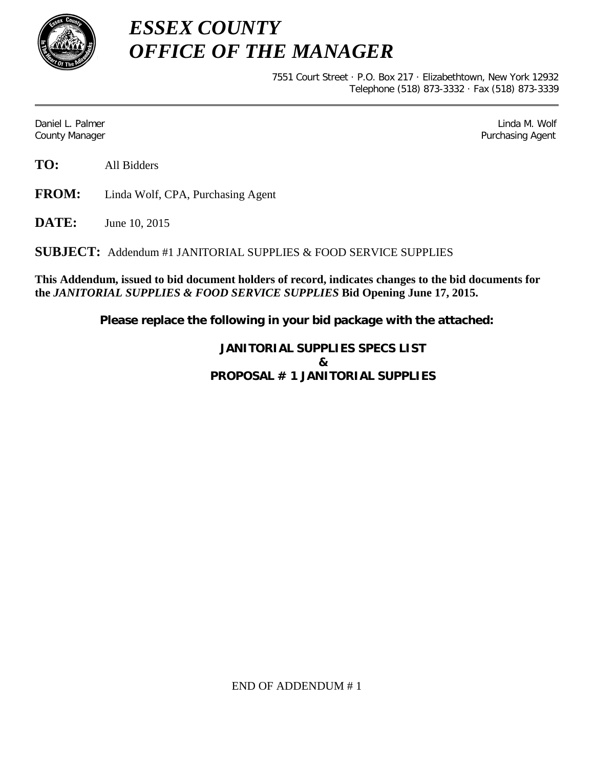

*ESSEX COUNTY OFFICE OF THE MANAGER*

> 7551 Court Street · P.O. Box 217 · Elizabethtown, New York 12932 Telephone (518) 873-3332 · Fax (518) 873-3339

Daniel L. Palmer Later and the control of the control of the control of the control of the control of the control of the control of the control of the control of the control of the control of the control of the control of County Manager Purchasing Agent

**TO:** All Bidders

**FROM:** Linda Wolf, CPA, Purchasing Agent

**DATE:** June 10, 2015

**SUBJECT:** Addendum #1 JANITORIAL SUPPLIES & FOOD SERVICE SUPPLIES

**This Addendum, issued to bid document holders of record, indicates changes to the bid documents for the** *JANITORIAL SUPPLIES & FOOD SERVICE SUPPLIES* **Bid Opening June 17, 2015.**

**Please replace the following in your bid package with the attached:**

**JANITORIAL SUPPLIES SPECS LIST & PROPOSAL # 1 JANITORIAL SUPPLIES**

END OF ADDENDUM # 1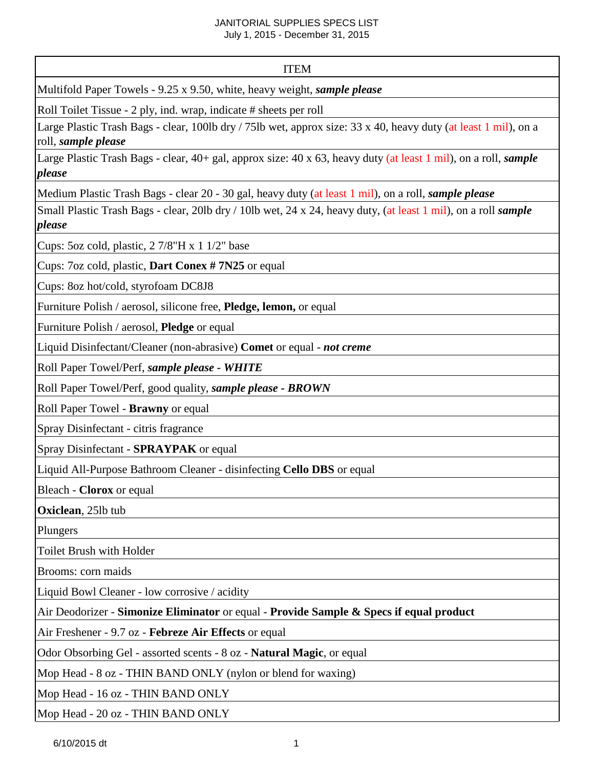# JANITORIAL SUPPLIES SPECS LIST

July 1, 2015 - December 31, 2015

## ITEM

Multifold Paper Towels - 9.25 x 9.50, white, heavy weight, *sample please*

Roll Toilet Tissue - 2 ply, ind. wrap, indicate # sheets per roll

Large Plastic Trash Bags - clear, 100lb dry / 75lb wet, approx size: 33 x 40, heavy duty (at least 1 mil), on a roll, *sample please* 

Large Plastic Trash Bags - clear, 40+ gal, approx size: 40 x 63, heavy duty (at least 1 mil), on a roll, *sample please* 

Medium Plastic Trash Bags - clear 20 - 30 gal, heavy duty (at least 1 mil), on a roll, *sample please*

Small Plastic Trash Bags - clear, 20lb dry / 10lb wet, 24 x 24, heavy duty, (at least 1 mil), on a roll *sample please*

Cups: 5oz cold, plastic, 2 7/8"H x 1 1/2" base

Cups: 7oz cold, plastic, **Dart Conex # 7N25** or equal

Cups: 8oz hot/cold, styrofoam DC8J8

Furniture Polish / aerosol, silicone free, **Pledge, lemon,** or equal

Furniture Polish / aerosol, **Pledge** or equal

Liquid Disinfectant/Cleaner (non-abrasive) **Comet** or equal - *not creme*

Roll Paper Towel/Perf, *sample please - WHITE*

Roll Paper Towel/Perf, good quality, *sample please - BROWN*

Roll Paper Towel - **Brawny** or equal

Spray Disinfectant - citris fragrance

Spray Disinfectant - **SPRAYPAK** or equal

Liquid All-Purpose Bathroom Cleaner - disinfecting **Cello DBS** or equal

Bleach - **Clorox** or equal

**Oxiclean**, 25lb tub

Plungers

Toilet Brush with Holder

Brooms: corn maids

Liquid Bowl Cleaner - low corrosive / acidity

Air Deodorizer - **Simonize Eliminator** or equal - **Provide Sample & Specs if equal product**

Air Freshener - 9.7 oz - **Febreze Air Effects** or equal

Odor Obsorbing Gel - assorted scents - 8 oz - **Natural Magic**, or equal

Mop Head - 8 oz - THIN BAND ONLY (nylon or blend for waxing)

Mop Head - 16 oz - THIN BAND ONLY

Mop Head - 20 oz - THIN BAND ONLY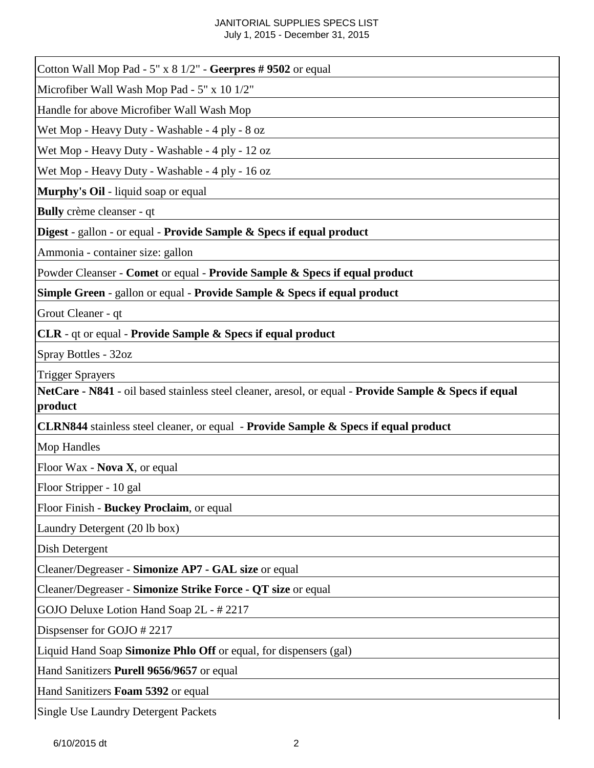## JANITORIAL SUPPLIES SPECS LIST July 1, 2015 - December 31, 2015

| Cotton Wall Mop Pad - $5''$ x $8\frac{1}{2}$ " - Geerpres #9502 or equal                                                                     |
|----------------------------------------------------------------------------------------------------------------------------------------------|
| Microfiber Wall Wash Mop Pad - 5" x 10 1/2"                                                                                                  |
| Handle for above Microfiber Wall Wash Mop                                                                                                    |
| Wet Mop - Heavy Duty - Washable - 4 ply - 8 oz                                                                                               |
| Wet Mop - Heavy Duty - Washable - 4 ply - 12 oz                                                                                              |
| Wet Mop - Heavy Duty - Washable - 4 ply - 16 oz                                                                                              |
| Murphy's Oil - liquid soap or equal                                                                                                          |
| Bully crème cleanser - qt                                                                                                                    |
| Digest - gallon - or equal - Provide Sample & Specs if equal product                                                                         |
| Ammonia - container size: gallon                                                                                                             |
| Powder Cleanser - Comet or equal - Provide Sample & Specs if equal product                                                                   |
| <b>Simple Green - gallon or equal - Provide Sample &amp; Specs if equal product</b>                                                          |
| Grout Cleaner - qt                                                                                                                           |
| CLR - qt or equal - Provide Sample & Specs if equal product                                                                                  |
| Spray Bottles - 32oz                                                                                                                         |
| <b>Trigger Sprayers</b><br>NetCare - N841 - oil based stainless steel cleaner, aresol, or equal - Provide Sample & Specs if equal<br>product |
| CLRN844 stainless steel cleaner, or equal - Provide Sample & Specs if equal product                                                          |
| <b>Mop Handles</b>                                                                                                                           |
| Floor Wax - Nova X, or equal                                                                                                                 |
| Floor Stripper - 10 gal                                                                                                                      |
| Floor Finish - Buckey Proclaim, or equal                                                                                                     |
| Laundry Detergent (20 lb box)                                                                                                                |
| Dish Detergent                                                                                                                               |
| Cleaner/Degreaser - Simonize AP7 - GAL size or equal                                                                                         |
| Cleaner/Degreaser - Simonize Strike Force - QT size or equal                                                                                 |
| GOJO Deluxe Lotion Hand Soap 2L - #2217                                                                                                      |
| Dispsenser for GOJO #2217                                                                                                                    |
| Liquid Hand Soap Simonize Phlo Off or equal, for dispensers (gal)                                                                            |
| Hand Sanitizers Purell 9656/9657 or equal                                                                                                    |
| Hand Sanitizers Foam 5392 or equal                                                                                                           |
| <b>Single Use Laundry Detergent Packets</b>                                                                                                  |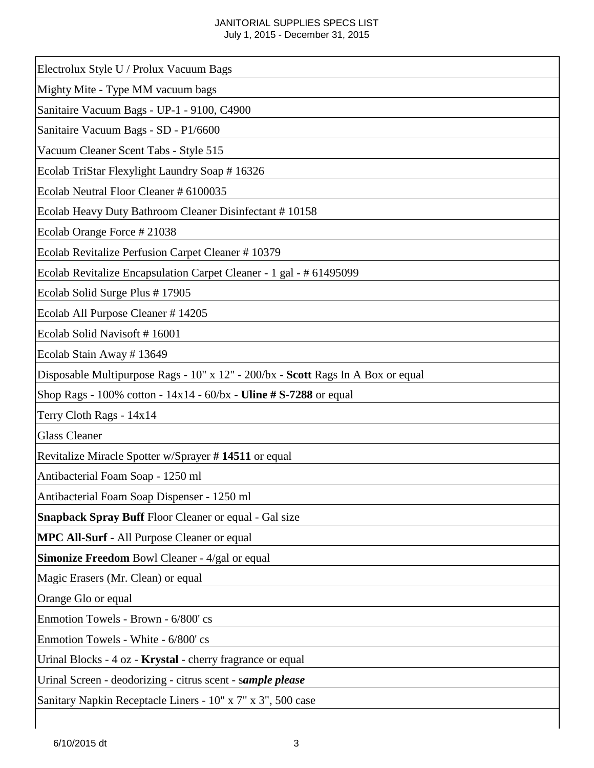## JANITORIAL SUPPLIES SPECS LIST July 1, 2015 - December 31, 2015

| Electrolux Style U / Prolux Vacuum Bags                                          |
|----------------------------------------------------------------------------------|
| Mighty Mite - Type MM vacuum bags                                                |
| Sanitaire Vacuum Bags - UP-1 - 9100, C4900                                       |
| Sanitaire Vacuum Bags - SD - P1/6600                                             |
| Vacuum Cleaner Scent Tabs - Style 515                                            |
| Ecolab TriStar Flexylight Laundry Soap # 16326                                   |
| Ecolab Neutral Floor Cleaner # 6100035                                           |
| Ecolab Heavy Duty Bathroom Cleaner Disinfectant #10158                           |
| Ecolab Orange Force #21038                                                       |
| Ecolab Revitalize Perfusion Carpet Cleaner #10379                                |
| Ecolab Revitalize Encapsulation Carpet Cleaner - 1 gal - # 61495099              |
| Ecolab Solid Surge Plus #17905                                                   |
| Ecolab All Purpose Cleaner #14205                                                |
| Ecolab Solid Navisoft #16001                                                     |
| Ecolab Stain Away #13649                                                         |
| Disposable Multipurpose Rags - 10" x 12" - 200/bx - Scott Rags In A Box or equal |
| Shop Rags - 100% cotton - $14x14 - 60/bx$ - Uline # S-7288 or equal              |
| Terry Cloth Rags - 14x14                                                         |
| <b>Glass Cleaner</b>                                                             |
| Revitalize Miracle Spotter w/Sprayer #14511 or equal                             |
| Antibacterial Foam Soap - 1250 ml                                                |
| Antibacterial Foam Soap Dispenser - 1250 ml                                      |
| <b>Snapback Spray Buff</b> Floor Cleaner or equal - Gal size                     |
| <b>MPC All-Surf</b> - All Purpose Cleaner or equal                               |
| <b>Simonize Freedom Bowl Cleaner - 4/gal or equal</b>                            |
| Magic Erasers (Mr. Clean) or equal                                               |
| Orange Glo or equal                                                              |
| Enmotion Towels - Brown - 6/800' cs                                              |
| Enmotion Towels - White - 6/800' cs                                              |
| Urinal Blocks - 4 oz - <b>Krystal</b> - cherry fragrance or equal                |
| Urinal Screen - deodorizing - citrus scent - sample please                       |
| Sanitary Napkin Receptacle Liners - 10" x 7" x 3", 500 case                      |
|                                                                                  |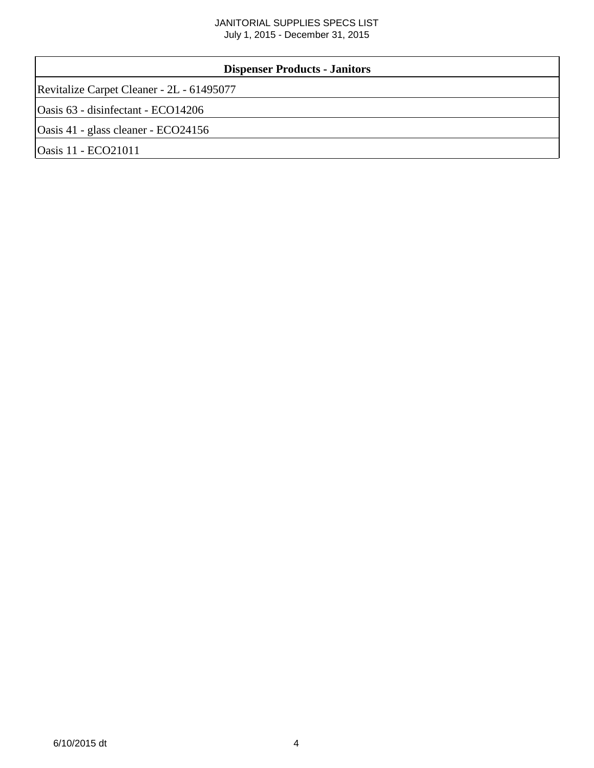## JANITORIAL SUPPLIES SPECS LIST July 1, 2015 - December 31, 2015

| <b>Dispenser Products - Janitors</b>      |  |  |  |
|-------------------------------------------|--|--|--|
| Revitalize Carpet Cleaner - 2L - 61495077 |  |  |  |
| Oasis 63 - disinfectant - ECO14206        |  |  |  |
| Oasis 41 - glass cleaner - ECO24156       |  |  |  |
| <b>Oasis 11 - ECO21011</b>                |  |  |  |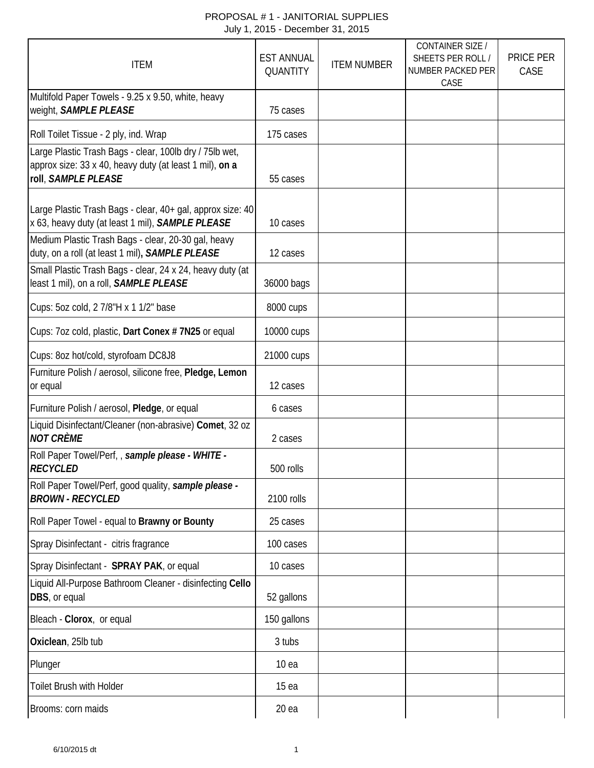| <b>ITEM</b>                                                                                                                               | <b>EST ANNUAL</b><br>QUANTITY | <b>ITEM NUMBER</b> | <b>CONTAINER SIZE /</b><br>SHEETS PER ROLL /<br>NUMBER PACKED PER<br>CASE | <b>PRICE PER</b><br>CASE |
|-------------------------------------------------------------------------------------------------------------------------------------------|-------------------------------|--------------------|---------------------------------------------------------------------------|--------------------------|
| Multifold Paper Towels - 9.25 x 9.50, white, heavy<br>weight, SAMPLE PLEASE                                                               | 75 cases                      |                    |                                                                           |                          |
| Roll Toilet Tissue - 2 ply, ind. Wrap                                                                                                     | 175 cases                     |                    |                                                                           |                          |
| Large Plastic Trash Bags - clear, 100lb dry / 75lb wet,<br>approx size: 33 x 40, heavy duty (at least 1 mil), on a<br>roll, SAMPLE PLEASE | 55 cases                      |                    |                                                                           |                          |
| Large Plastic Trash Bags - clear, 40+ gal, approx size: 40<br>x 63, heavy duty (at least 1 mil), SAMPLE PLEASE                            | 10 cases                      |                    |                                                                           |                          |
| Medium Plastic Trash Bags - clear, 20-30 gal, heavy<br>duty, on a roll (at least 1 mil), SAMPLE PLEASE                                    | 12 cases                      |                    |                                                                           |                          |
| Small Plastic Trash Bags - clear, 24 x 24, heavy duty (at<br>least 1 mil), on a roll, SAMPLE PLEASE                                       | 36000 bags                    |                    |                                                                           |                          |
| Cups: 5oz cold, 2 7/8"H x 1 1/2" base                                                                                                     | 8000 cups                     |                    |                                                                           |                          |
| Cups: 7oz cold, plastic, Dart Conex # 7N25 or equal                                                                                       | 10000 cups                    |                    |                                                                           |                          |
| Cups: 8oz hot/cold, styrofoam DC8J8                                                                                                       | 21000 cups                    |                    |                                                                           |                          |
| Furniture Polish / aerosol, silicone free, Pledge, Lemon<br>or equal                                                                      | 12 cases                      |                    |                                                                           |                          |
| Furniture Polish / aerosol, Pledge, or equal                                                                                              | 6 cases                       |                    |                                                                           |                          |
| Liquid Disinfectant/Cleaner (non-abrasive) Comet, 32 oz<br><b>NOT CRÈME</b>                                                               | 2 cases                       |                    |                                                                           |                          |
| Roll Paper Towel/Perf,, sample please - WHITE -<br><b>RECYCLED</b>                                                                        | 500 rolls                     |                    |                                                                           |                          |
| Roll Paper Towel/Perf, good quality, sample please -<br><b>BROWN - RECYCLED</b>                                                           | 2100 rolls                    |                    |                                                                           |                          |
| Roll Paper Towel - equal to Brawny or Bounty                                                                                              | 25 cases                      |                    |                                                                           |                          |
| Spray Disinfectant - citris fragrance                                                                                                     | 100 cases                     |                    |                                                                           |                          |
| Spray Disinfectant - SPRAY PAK, or equal                                                                                                  | 10 cases                      |                    |                                                                           |                          |
| Liquid All-Purpose Bathroom Cleaner - disinfecting Cello<br>DBS, or equal                                                                 | 52 gallons                    |                    |                                                                           |                          |
| Bleach - Clorox, or equal                                                                                                                 | 150 gallons                   |                    |                                                                           |                          |
| Oxiclean, 25lb tub                                                                                                                        | 3 tubs                        |                    |                                                                           |                          |
| Plunger                                                                                                                                   | 10 <sub>ea</sub>              |                    |                                                                           |                          |
| Toilet Brush with Holder                                                                                                                  | 15 <sub>ea</sub>              |                    |                                                                           |                          |
| Brooms: corn maids                                                                                                                        | 20ea                          |                    |                                                                           |                          |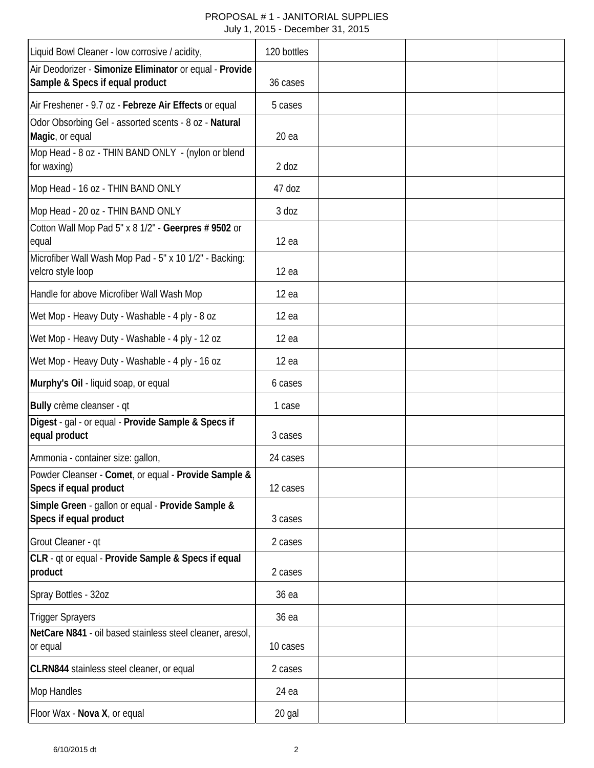| Liquid Bowl Cleaner - low corrosive / acidity,                                                     | 120 bottles   |  |  |
|----------------------------------------------------------------------------------------------------|---------------|--|--|
| Air Deodorizer - Simonize Eliminator or equal - Provide<br>Sample & Specs if equal product         | 36 cases      |  |  |
| Air Freshener - 9.7 oz - Febreze Air Effects or equal                                              | 5 cases       |  |  |
| Odor Obsorbing Gel - assorted scents - 8 oz - Natural<br>Magic, or equal                           | 20ea          |  |  |
| Mop Head - 8 oz - THIN BAND ONLY - (nylon or blend<br>for waxing)                                  | $2$ doz       |  |  |
| Mop Head - 16 oz - THIN BAND ONLY                                                                  | 47 doz        |  |  |
| Mop Head - 20 oz - THIN BAND ONLY<br>Cotton Wall Mop Pad 5" x 8 1/2" - Geerpres # 9502 or<br>equal | 3 doz<br>12ea |  |  |
| Microfiber Wall Wash Mop Pad - 5" x 10 1/2" - Backing:<br>velcro style loop                        | 12ea          |  |  |
| Handle for above Microfiber Wall Wash Mop                                                          | 12ea          |  |  |
| Wet Mop - Heavy Duty - Washable - 4 ply - 8 oz                                                     | 12ea          |  |  |
| Wet Mop - Heavy Duty - Washable - 4 ply - 12 oz                                                    | 12ea          |  |  |
| Wet Mop - Heavy Duty - Washable - 4 ply - 16 oz                                                    | 12ea          |  |  |
| Murphy's Oil - liquid soap, or equal                                                               | 6 cases       |  |  |
| Bully crème cleanser - qt                                                                          | 1 case        |  |  |
| Digest - gal - or equal - Provide Sample & Specs if<br>equal product                               | 3 cases       |  |  |
| Ammonia - container size: gallon,                                                                  | 24 cases      |  |  |
| Powder Cleanser - Comet, or equal - Provide Sample &<br>Specs if equal product                     | 12 cases      |  |  |
| Simple Green - gallon or equal - Provide Sample &<br>Specs if equal product                        | 3 cases       |  |  |
| Grout Cleaner - qt                                                                                 | 2 cases       |  |  |
| CLR - qt or equal - Provide Sample & Specs if equal<br>product                                     | 2 cases       |  |  |
| Spray Bottles - 32oz                                                                               | 36 ea         |  |  |
| <b>Trigger Sprayers</b>                                                                            | 36 ea         |  |  |
| NetCare N841 - oil based stainless steel cleaner, aresol,<br>or equal                              | 10 cases      |  |  |
| CLRN844 stainless steel cleaner, or equal                                                          | 2 cases       |  |  |
| <b>Mop Handles</b>                                                                                 | 24 ea         |  |  |
| Floor Wax - Nova X, or equal                                                                       | 20 gal        |  |  |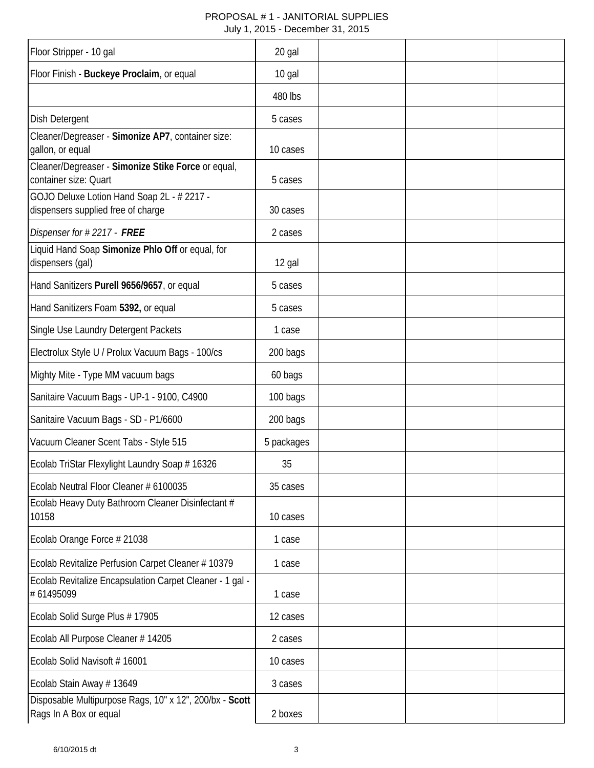| Floor Stripper - 10 gal                                                           | 20 gal     |  |  |
|-----------------------------------------------------------------------------------|------------|--|--|
| Floor Finish - Buckeye Proclaim, or equal                                         | 10 gal     |  |  |
|                                                                                   | 480 lbs    |  |  |
| <b>Dish Detergent</b>                                                             | 5 cases    |  |  |
| Cleaner/Degreaser - Simonize AP7, container size:<br>gallon, or equal             | 10 cases   |  |  |
| Cleaner/Degreaser - Simonize Stike Force or equal,<br>container size: Quart       | 5 cases    |  |  |
| GOJO Deluxe Lotion Hand Soap 2L - # 2217 -<br>dispensers supplied free of charge  | 30 cases   |  |  |
| Dispenser for #2217 - FREE                                                        | 2 cases    |  |  |
| Liquid Hand Soap Simonize Phlo Off or equal, for<br>dispensers (gal)              | 12 gal     |  |  |
| Hand Sanitizers Purell 9656/9657, or equal                                        | 5 cases    |  |  |
| Hand Sanitizers Foam 5392, or equal                                               | 5 cases    |  |  |
| Single Use Laundry Detergent Packets                                              | 1 case     |  |  |
| Electrolux Style U / Prolux Vacuum Bags - 100/cs                                  | 200 bags   |  |  |
| Mighty Mite - Type MM vacuum bags                                                 | 60 bags    |  |  |
| Sanitaire Vacuum Bags - UP-1 - 9100, C4900                                        | 100 bags   |  |  |
| Sanitaire Vacuum Bags - SD - P1/6600                                              | 200 bags   |  |  |
| Vacuum Cleaner Scent Tabs - Style 515                                             | 5 packages |  |  |
| Ecolab TriStar Flexylight Laundry Soap # 16326                                    | 35         |  |  |
| Ecolab Neutral Floor Cleaner # 6100035                                            | 35 cases   |  |  |
| Ecolab Heavy Duty Bathroom Cleaner Disinfectant #<br>10158                        | 10 cases   |  |  |
| Ecolab Orange Force # 21038                                                       | 1 case     |  |  |
| Ecolab Revitalize Perfusion Carpet Cleaner # 10379                                | 1 case     |  |  |
| Ecolab Revitalize Encapsulation Carpet Cleaner - 1 gal -<br>#61495099             | 1 case     |  |  |
| Ecolab Solid Surge Plus #17905                                                    | 12 cases   |  |  |
| Ecolab All Purpose Cleaner # 14205                                                | 2 cases    |  |  |
| Ecolab Solid Navisoft #16001                                                      | 10 cases   |  |  |
| Ecolab Stain Away # 13649                                                         | 3 cases    |  |  |
| Disposable Multipurpose Rags, 10" x 12", 200/bx - Scott<br>Rags In A Box or equal | 2 boxes    |  |  |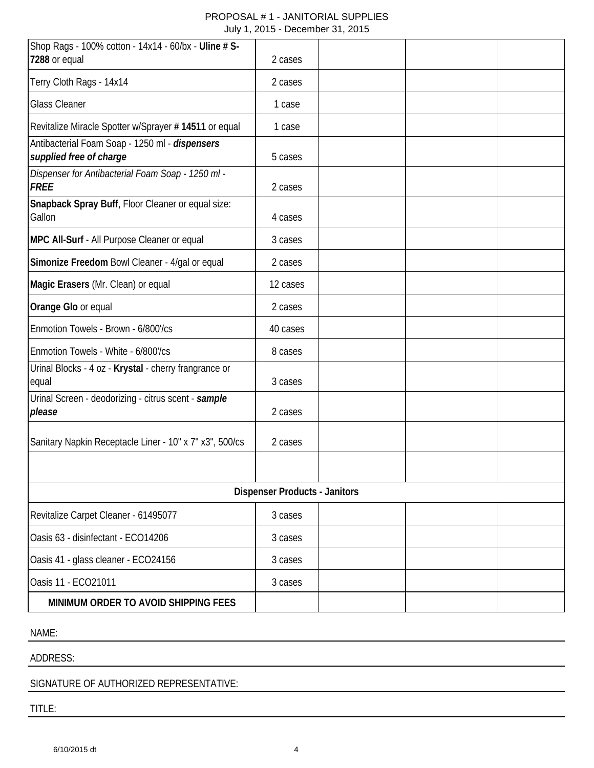| Shop Rags - 100% cotton - 14x14 - 60/bx - Uline # S-<br>7288 or equal     | 2 cases  |  |  |  |
|---------------------------------------------------------------------------|----------|--|--|--|
| Terry Cloth Rags - 14x14                                                  | 2 cases  |  |  |  |
| <b>Glass Cleaner</b>                                                      | 1 case   |  |  |  |
| Revitalize Miracle Spotter w/Sprayer # 14511 or equal                     | 1 case   |  |  |  |
| Antibacterial Foam Soap - 1250 ml - dispensers<br>supplied free of charge | 5 cases  |  |  |  |
| Dispenser for Antibacterial Foam Soap - 1250 ml -<br><b>FREE</b>          | 2 cases  |  |  |  |
| Snapback Spray Buff, Floor Cleaner or equal size:<br>Gallon               | 4 cases  |  |  |  |
| MPC All-Surf - All Purpose Cleaner or equal                               | 3 cases  |  |  |  |
| Simonize Freedom Bowl Cleaner - 4/gal or equal                            | 2 cases  |  |  |  |
| Magic Erasers (Mr. Clean) or equal                                        | 12 cases |  |  |  |
| Orange Glo or equal                                                       | 2 cases  |  |  |  |
| Enmotion Towels - Brown - 6/800'/cs                                       | 40 cases |  |  |  |
| Enmotion Towels - White - 6/800'/cs                                       | 8 cases  |  |  |  |
| Urinal Blocks - 4 oz - Krystal - cherry frangrance or<br>equal            | 3 cases  |  |  |  |
| Urinal Screen - deodorizing - citrus scent - sample<br>please             | 2 cases  |  |  |  |
| Sanitary Napkin Receptacle Liner - 10" x 7" x3", 500/cs                   | 2 cases  |  |  |  |
|                                                                           |          |  |  |  |
| <b>Dispenser Products - Janitors</b>                                      |          |  |  |  |
| Revitalize Carpet Cleaner - 61495077                                      | 3 cases  |  |  |  |
| Oasis 63 - disinfectant - ECO14206                                        | 3 cases  |  |  |  |
| Oasis 41 - glass cleaner - ECO24156                                       | 3 cases  |  |  |  |
| Oasis 11 - ECO21011                                                       | 3 cases  |  |  |  |
| MINIMUM ORDER TO AVOID SHIPPING FEES                                      |          |  |  |  |

NAME:

ADDRESS:

SIGNATURE OF AUTHORIZED REPRESENTATIVE:

TITLE: